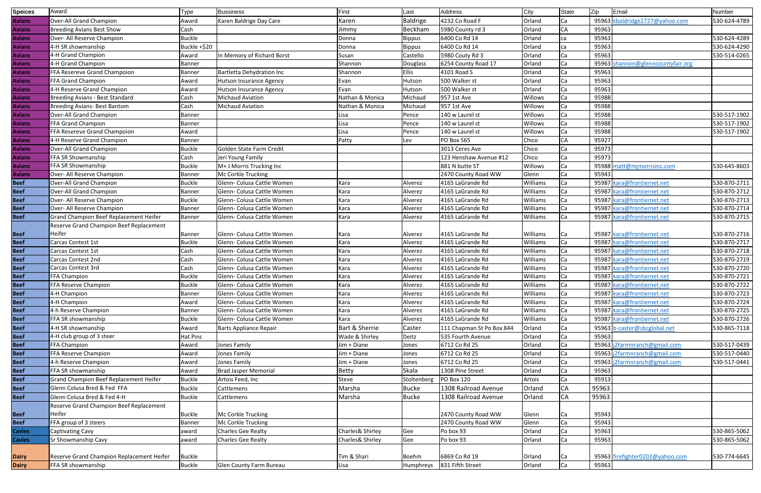| <b>Speices</b> | Award                                          | <b>Type</b>   | <b>Bussiness</b>               | First            | Last            | Address                   | City     | <b>State</b> | Zip   | Email                           | Number       |
|----------------|------------------------------------------------|---------------|--------------------------------|------------------|-----------------|---------------------------|----------|--------------|-------|---------------------------------|--------------|
| <b>Avians</b>  | Over-All Grand Champion                        | Award         | Karen Baldrige Day Care        | Karen            | <b>Baldrige</b> | 4232 Co Road F            | Orland   | Ca           |       | 95963 kbaldridge2727@yahoo.com  | 530-624-4789 |
| <b>Avians</b>  | <b>Breeding Avians Best Show</b>               | Cash          |                                | limmy            | Beckham         | 5980 County rd 3          | Orland   | СA           | 95963 |                                 |              |
| <b>Avians</b>  | Over- All Reserve Champion                     | <b>Buckle</b> |                                | Donna            | Bippus          | 6400 Co Rd 14             | Orland   | ca           | 95963 |                                 | 530-624-4289 |
| <b>Avians</b>  | 4-H SR showmanship                             | Buckle +\$20  |                                | Donna            | Bippus          | 6400 Co Rd 14             | Orland   | ca           | 95963 |                                 | 530-624-4290 |
| <b>Avians</b>  | 4-H Grand Champion                             | Award         | In Memory of Richard Borst     | Susan            | Castello        | 5980 Couty Rd 3           | Orland   | Ca           | 95963 |                                 | 530-514-0265 |
| <b>Avians</b>  | 4-H Grand Champion                             | <b>Banner</b> |                                | Shannon          | Douglass        | 6254 County Road 17       | Orland   | Ca           | 95963 | shannon@glenncountyfair.org     |              |
| <b>Avians</b>  | FFA Resereve Grand Champoion                   | <b>Banner</b> | Bartletta Dehydration Inc      | Shannon          | Ellis           | 4101 Road S               | Orland   | Ca           | 95963 |                                 |              |
| <b>Avians</b>  | FFA Grand Champion                             | Award         | <b>Hutson Insurance Agency</b> | Evan             | Hutson          | 500 Walker st             | Orland   | Ca           | 95963 |                                 |              |
| <b>Avians</b>  | 4-H Reserve Grand Champion                     | Award         | <b>Hutson Insurance Agency</b> | Evan             | Hutson          | 500 Walker st             | Orland   | Ca           | 95963 |                                 |              |
| <b>Avians</b>  | Breeding Avians - Best Standard                | Cash          | <b>Michaud Aviation</b>        | Nathan & Monica  | Michaud         | 957 1st Ave               | Willows  | Ca           | 95988 |                                 |              |
| <b>Avians</b>  | Breeding Avians- Best Bantom                   | Cash          | <b>Michaud Aviation</b>        | Nathan & Monica  | Michaud         | 957 1st Ave               | Willows  | Ca           | 95988 |                                 |              |
| <b>Avians</b>  | Over-All Grand Champion                        | Banner        |                                | Lisa             | Pence           | 140 w Laurel st           | Willows  | Ca           | 95988 |                                 | 530-517-1902 |
| <b>Avians</b>  | FFA Grand Champion                             | Banner        |                                | Lisa             | Pence           | 140 w Laurel st           | Willows  | Ca           | 95988 |                                 | 530-517-1902 |
| <b>Avians</b>  | FFA Resereve Grand Champoion                   | Award         |                                | Lisa             | Pence           | 140 w Laurel st           | Willows  | Ca           | 95988 |                                 | 530-517-1902 |
| <b>Avians</b>  | 4-H Reserve Grand Champion                     | <b>Banner</b> |                                | Patty            | Lev             | PO Box 565                | Chico    | <b>CA</b>    | 95927 |                                 |              |
| <b>Avians</b>  | Over-All Grand Champion                        | <b>Buckle</b> | Golden State Farm Credit       |                  |                 | 3013 Ceres Ave            | Chico    | Ca           | 95973 |                                 |              |
| <b>Avians</b>  | FFA SR Showmanship                             | Cash          | Jeri Young Family              |                  |                 | 123 Henshaw Avenue #12    | Chico    | Ca           | 95973 |                                 |              |
| <b>Avians</b>  | FFA SR Showmanship                             | <b>Buckle</b> | M+ J Morris Trucking Inc       |                  |                 | 881 N butte ST            | Willows  | Ca           | 95988 | matt@mjmorrisinc.com            | 530-645-8603 |
| <b>Avians</b>  | Over- All Reserve Champion                     | <b>Banner</b> | Mc Corkle Trucking             |                  |                 | 2470 County Road WW       | Glenn    | Ca           | 95943 |                                 |              |
| <b>Beef</b>    | Over-All Grand Champion                        | <b>Buckle</b> | Glenn- Colusa Cattle Women     | Kara             | Alverez         | 4165 LaGrande Rd          | Williams | Ca           | 95987 | kara@frontiernet.net            | 530-870-2711 |
| <b>Beef</b>    | Over-All Grand Champion                        | <b>Banner</b> | Glenn- Colusa Cattle Women     | Kara             | Alverez         | 4165 LaGrande Rd          | Williams | Ca           | 95987 | kara@frontiernet.net            | 530-870-2712 |
| <b>Beef</b>    | Over- All Reserve Champion                     | <b>Buckle</b> | Glenn- Colusa Cattle Women     | Kara             | Alverez         | 4165 LaGrande Rd          | Williams | Ca           |       | 95987 kara@frontiernet.net      | 530-870-2713 |
| <b>Beef</b>    | Over- All Reserve Champion                     | <b>Banner</b> | Glenn- Colusa Cattle Women     | Kara             | Alverez         | 4165 LaGrande Rd          | Williams | Ca           | 95987 | kara@frontiernet.net            | 530-870-2714 |
| <b>Beef</b>    | <b>Grand Champion Beef Replacement Heifer</b>  | <b>Banner</b> | Glenn- Colusa Cattle Women     | Kara             | Alverez         | 4165 LaGrande Rd          | Williams | lCa          |       | 95987 kara@frontiernet.net      | 530-870-2715 |
|                | Reserve Grand Champion Beef Replacement        |               |                                |                  |                 |                           |          |              |       |                                 |              |
| <b>Beef</b>    | Heifer                                         | Banner        | Glenn- Colusa Cattle Women     | Kara             | Alverez         | 4165 LaGrande Rd          | Williams | lCa          |       | 95987 kara@frontiernet.net      | 530-870-2716 |
| <b>Beef</b>    | Carcas Contest 1st                             | <b>Buckle</b> | Glenn- Colusa Cattle Women     | Kara             | Alverez         | 4165 LaGrande Rd          | Williams | Ca           | 95987 | kara@frontiernet.net            | 530-870-2717 |
| <b>Beef</b>    | Carcas Contest 1st                             | Cash          | Glenn- Colusa Cattle Women     | Kara             | Alverez         | 4165 LaGrande Rd          | Williams | Ca           | 95987 | kara@frontiernet.net            | 530-870-2718 |
| <b>Beef</b>    | Carcas Contest 2nd                             | Cash          | Glenn- Colusa Cattle Women     | Kara             | Alverez         | 4165 LaGrande Rd          | Williams | Ca           |       | 95987 kara@frontiernet.net      | 530-870-2719 |
| <b>Beef</b>    | Carcas Contest 3rd                             | Cash          | Glenn- Colusa Cattle Women     | Kara             | Alverez         | 4165 LaGrande Rd          | Williams | Ca           | 95987 | kara@frontiernet.net            | 530-870-2720 |
| <b>Beef</b>    | <b>FFA Champion</b>                            | <b>Buckle</b> | Glenn- Colusa Cattle Women     | Kara             | Alverez         | 4165 LaGrande Rd          | Williams | Ca           | 95987 | kara@frontiernet.net            | 530-870-2721 |
| <b>Beef</b>    | FFA Reserve Champion                           | <b>Buckle</b> | Glenn- Colusa Cattle Women     | Kara             | Alverez         | 4165 LaGrande Rd          | Williams | Ca           |       | 95987 kara@frontiernet.net      | 530-870-2722 |
| <b>Beef</b>    | 4-H Champion                                   | Banner        | Glenn- Colusa Cattle Women     | Kara             | Alverez         | 4165 LaGrande Rd          | Williams | Ca           |       | 95987 kara@frontiernet.net      | 530-870-2723 |
| <b>Beef</b>    | 4-H Champion                                   | Award         | Glenn- Colusa Cattle Women     | Kara             | Alverez         | 4165 LaGrande Rd          | Williams | Ca           |       | 95987 kara@frontiernet.net      | 530-870-2724 |
| <b>Beef</b>    | 4-h Reserve Champion                           | <b>Banner</b> | Glenn- Colusa Cattle Women     | Kara             | Alverez         | 4165 LaGrande Rd          | Williams | Ca           |       | 95987 kara@frontiernet.net      | 530-870-2725 |
| <b>Beef</b>    | <b>FFA SR showmanship</b>                      | <b>Buckle</b> | Glenn- Colusa Cattle Women     | Kara             | Alverez         | 4165 LaGrande Rd          | Williams | Ca           |       | 95987 kara@frontiernet.net      | 530-870-2726 |
| <b>Beef</b>    | 4-H SR showmanship                             | Award         | <b>Barts Appliance Repair</b>  | Bart & Sherrie   | Caster          | 111 Chapman St Po Box 844 | Orland   | Ca           |       | 95963 b-caster@sbcglobal.net    | 530-865-7118 |
| <b>Beef</b>    | $4-H$ club group of 3 steer                    | Hat Pins      |                                | Wade & Shirley   | Deitz           | 535 Fourth Avenue         | Orland   | Ca           | 95963 |                                 |              |
| <b>Beef</b>    | <b>FFA Champion</b>                            | Award         | Jones Family                   | Jim + Diane      | Jones           | 6712 Co Rd 25             | Orland   | Ca           |       | 95963 j2farmnranch@gmail.com    | 530-517-0439 |
| <b>Beef</b>    | <b>FFA Reserve Champion</b>                    | Award         | Jones Family                   | Jim + Diane      | Jones           | 6712 Co Rd 25             | Orland   | Ca           |       | 95963 j2farmnranch@gmail.com    | 530-517-0440 |
| <b>Beef</b>    | 4-h Reserve Champion                           | Award         | Jones Family                   | Jim + Diane      | Jones           | 6712 Co Rd 25             | Orland   | Ca           |       | 95963 j2farmnranch@gmail.com    | 530-517-0441 |
| <b>Beef</b>    | <b>FFA SR showmanship</b>                      | Award         | <b>Brad Jasper Memorial</b>    | <b>Betty</b>     | Skala           | 1308 Pine Street          | Orland   | Ca           | 95963 |                                 |              |
| <b>Beef</b>    | <b>Grand Champion Beef Replacement Heifer</b>  | <b>Buckle</b> | Artois Feed, Inc               | Steve            | Stoltenberg     | PO Box 120                | Artois   | Ca           | 95913 |                                 |              |
| <b>Beef</b>    | Glenn Colusa Bred & Fed FFA                    | <b>Buckle</b> | Cattlemens                     | Marsha           | <b>Bucke</b>    | 1308 Railroad Avenue      | Orland   | CA           | 95963 |                                 |              |
| <b>Beef</b>    | Glenn Colusa Bred & Fed 4-H                    | <b>Buckle</b> | Cattlemens                     | Marsha           | <b>Bucke</b>    | 1308 Railroad Avenue      | Orland   | <b>CA</b>    | 95963 |                                 |              |
|                | <b>Reserve Grand Champion Beef Replacement</b> |               |                                |                  |                 |                           |          |              |       |                                 |              |
| <b>Beef</b>    | Heifer                                         | <b>Buckle</b> | Mc Corkle Trucking             |                  |                 | 2470 County Road WW       | Glenn    |              | 95943 |                                 |              |
| <b>Beef</b>    | FFA group of 3 steers                          | Banner        | Mc Corkle Trucking             |                  |                 | 2470 County Road WW       | Glenn    | Ca           | 95943 |                                 |              |
| <b>Cavies</b>  | <b>Captivating Cavy</b>                        | award         | <b>Charles Gee Realty</b>      | Charles& Shirley | Gee             | Po box 93                 | Orland   | Ca           | 95963 |                                 | 530-865-5062 |
| <b>Cavies</b>  | Sr Showmanship Cavy                            | award         | <b>Charles Gee Realty</b>      | Charles& Shirley | Gee             | Po box 93                 | Orland   | Ca           | 95963 |                                 | 530-865-5062 |
|                |                                                |               |                                |                  |                 |                           |          |              |       |                                 |              |
| <b>Dairy</b>   | Reserve Grand Champion Replacement Heifer      | <b>Buckle</b> |                                | Tim & Shari      | <b>Boehm</b>    | 6869 Co Rd 19             | Orland   | Ca           |       | 95963 firefighter0202@yahoo.com | 530-774-6645 |
| <b>Dairy</b>   | <b>FFA SR showmanship</b>                      | <b>Buckle</b> | Glen County Farm Bureau        | Lisa             | Humphreys       | 831 Fifth Street          | Orland   | Ca           | 95963 |                                 |              |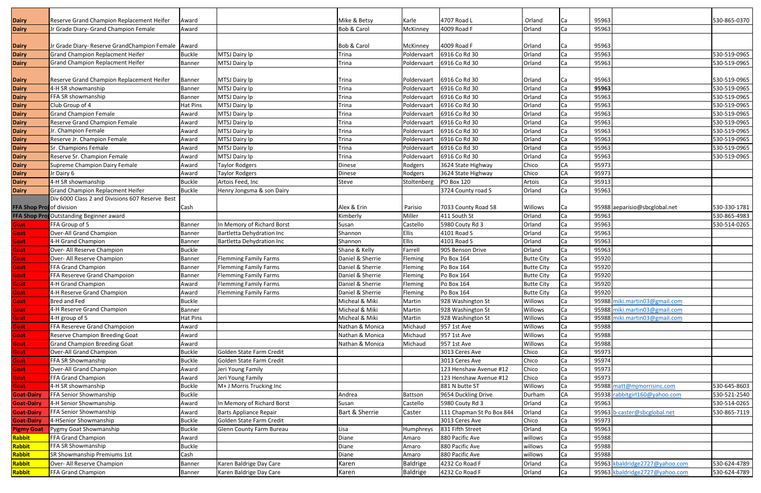| <b>Dairy</b>                 | Reserve Grand Champion Replacement Heifer           | Award                  |                                           | Mike & Betsy           | Karle                  | 4707 Road L                             | Orland            | Ca              | 95963          |                                | 530-865-0370 |
|------------------------------|-----------------------------------------------------|------------------------|-------------------------------------------|------------------------|------------------------|-----------------------------------------|-------------------|-----------------|----------------|--------------------------------|--------------|
| <b>Dairy</b>                 | Jr Grade Diary- Grand Champion Female               | Award                  |                                           | <b>Bob &amp; Carol</b> | McKinney               | 4009 Road F                             | Orland            |                 | 95963          |                                |              |
|                              |                                                     |                        |                                           |                        |                        |                                         |                   |                 |                |                                |              |
| <b>Dairy</b>                 | Jr Grade Diary- Reserve GrandChampion Female Award  |                        |                                           | Bob & Carol            | McKinney               | 4009 Road F                             | Orland            |                 | 95963          |                                |              |
| <b>Dairy</b>                 | <b>Grand Champion Replacment Heifer</b>             | <b>Buckle</b>          | MTSJ Dairy Ip                             | Trina                  | Poldervaart            | 6916 Co Rd 30                           | Orland            | Ca              | 95963          |                                | 530-519-0965 |
| <b>Dairy</b>                 | <b>Grand Champion Replacment Heifer</b>             | Banner                 | MTSJ Dairy Ip                             | Trina                  | Poldervaart            | 6916 Co Rd 30                           | Orland            | Ca              | 95963          |                                | 530-519-0965 |
|                              |                                                     |                        |                                           |                        |                        |                                         |                   |                 |                |                                |              |
| <b>Dairy</b>                 | Reserve Grand Champion Replacement Heifer           | Banner                 | MTSJ Dairy Ip                             | Trina                  | Poldervaart            | 6916 Co Rd 30                           | Orland            | Ca              | 95963          |                                | 530-519-0965 |
| <b>Dairy</b>                 | 4-H SR showmanship                                  | <b>Banner</b>          | MTSJ Dairy Ip                             | Trina                  | Poldervaart            | 6916 Co Rd 30                           | Orland            | Ca              | 95963          |                                | 530-519-0965 |
| <b>Dairy</b>                 | FFA SR showmanship                                  | <b>Banner</b>          | MTSJ Dairy Ip                             | <b>Trina</b>           | Poldervaart            | 6916 Co Rd 30                           | Orland            | lCa             | 95963          |                                | 530-519-0965 |
| <b>Dairy</b>                 | Club Group of 4                                     | Hat Pins               | MTSJ Dairy Ip                             | <b>Trina</b>           | Poldervaart            | 6916 Co Rd 30                           | Orland            | Ca              | 95963          |                                | 530-519-0965 |
| <b>Dairy</b>                 | <b>Grand Champion Female</b>                        | Award                  | MTSJ Dairy Ip                             | Trina                  | Poldervaart            | 6916 Co Rd 30                           | Orland            | Ca              | 95963          |                                | 530-519-0965 |
| <b>Dairy</b>                 | <b>Reserve Grand Champion Female</b>                | Award                  | MTSJ Dairy Ip                             | <b>Trina</b>           | Poldervaart            | 6916 Co Rd 30                           | Orland            | Ca              | 95963          |                                | 530-519-0965 |
| <b>Dairy</b>                 | Jr. Champion Female                                 | Award                  | MTSJ Dairy Ip                             | Trina                  | Poldervaart            | 6916 Co Rd 30                           | Orland            | Ca              | 95963          |                                | 530-519-0965 |
| <b>Dairy</b>                 | Reserve Jr. Champion Female                         | Award                  | MTSJ Dairy Ip                             | Trina                  | Poldervaart            | 6916 Co Rd 30                           | Orland            | Ca              | 95963          |                                | 530-519-0965 |
| <b>Dairy</b>                 | Sr. Champions Female<br>Reserve Sr. Champion Female | Award                  | MTSJ Dairy Ip                             | <b>Trina</b>           | Poldervaart            | 6916 Co Rd 30                           | Orland            | Ca              | 95963          |                                | 530-519-0965 |
| <b>Dairy</b>                 |                                                     | Award                  | MTSJ Dairy Ip                             | <b>Trina</b><br>Dinese | Poldervaart            | 6916 Co Rd 30                           | Orland<br>Chico   | lCa             | 95963<br>95973 |                                | 530-519-0965 |
| <b>Dairy</b>                 | Supreme Champion Dairy Female<br>Jr Dairy 6         | Award                  | <b>Taylor Rodgers</b>                     | Dinese                 | Rodgers                | 3624 State Highway                      | Chico             |                 | 95973          |                                |              |
| <b>Dairy</b><br><b>Dairy</b> | 4-H SR showmanship                                  | Award<br><b>Buckle</b> | <b>Taylor Rodgers</b><br>Artois Feed, Inc | Steve                  | Rodgers<br>Stoltenberg | 3624 State Highway<br><b>PO Box 120</b> | Artois            | <b>CA</b><br>Ca | 95913          |                                |              |
| <b>Dairy</b>                 | <b>Grand Champion Replacment Heifer</b>             | <b>Buckle</b>          | Henry Jongsma & son Dairy                 |                        |                        | 3724 County road S                      | Orland            | Ca              | 95963          |                                |              |
|                              | Div 6000 Class 2 and Divisions 607 Reserve Best     |                        |                                           |                        |                        |                                         |                   |                 |                |                                |              |
| FFA Shop Proj of division    |                                                     | Cash                   |                                           | Alex & Erin            | Parisio                | 7033 County Road 58                     | Willows           | Ca              |                | 95988 aeparisio@sbcglobal.net  | 530-330-1781 |
|                              | FFA Shop Proj Outstanding Beginner award            |                        |                                           | Kimberly               | Miller                 | 411 South St                            | Orland            | Ca              | 95963          |                                | 530-865-4983 |
| <b>Soat</b>                  | FFA Group of 5                                      | <b>Banner</b>          | In Memory of Richard Borst                | Susan                  | Castello               | 5980 Couty Rd 3                         | Orland            | Ca              | 95963          |                                | 530-514-0265 |
| Goat                         | Over-All Grand Champion                             | <b>Banner</b>          | <b>Bartletta Dehydration Inc</b>          | Shannon                | <b>Ellis</b>           | 4101 Road S                             | Orland            | lCa             | 95963          |                                |              |
| Goat                         | 4-H Grand Champion                                  | <b>Banner</b>          | Bartletta Dehydration Inc                 | Shannon                | <b>Ellis</b>           | 4101 Road S                             | Orland            | Ca              | 95963          |                                |              |
| Goat                         | Over- All Reserve Champion                          | <b>Buckle</b>          |                                           | Shane & Kelly          | Farrell                | 905 Benson Drive                        | Orland            | lCa             | 95963          |                                |              |
| Goat                         | Over- All Reserve Champion                          | <b>Banner</b>          | <b>Flemming Family Farms</b>              | Daniel & Sherrie       | Fleming                | Po Box 164                              | <b>Butte City</b> | lCa             | 95920          |                                |              |
| <b>Soat</b>                  | FFA Grand Champion                                  | <b>Banner</b>          | <b>Flemming Family Farms</b>              | Daniel & Sherrie       | Fleming                | Po Box 164                              | <b>Butte City</b> | lCa             | 95920          |                                |              |
| Goat                         | FFA Resereve Grand Champoion                        | <b>Banner</b>          | <b>Flemming Family Farms</b>              | Daniel & Sherrie       | Fleming                | Po Box 164                              | <b>Butte City</b> |                 | 95920          |                                |              |
| <b>Soat</b>                  | 4-H Grand Champion                                  | Award                  | <b>Flemming Family Farms</b>              | Daniel & Sherrie       | Fleming                | Po Box 164                              | <b>Butte City</b> | lCa             | 95920          |                                |              |
| Goat                         | 4-H Reserve Grand Champion                          | Award                  | <b>Flemming Family Farms</b>              | Daniel & Sherrie       | Fleming                | Po Box 164                              | <b>Butte City</b> | Ca              | 95920          |                                |              |
| Goat                         | <b>Bred and Fed</b>                                 | <b>Buckle</b>          |                                           | Micheal & Miki         | Martin                 | 928 Washington St                       | Willows           | Ca              |                | 95988 miki.martin03@gmail.com  |              |
| Goat                         | 4-H Reserve Grand Champion                          | Banner                 |                                           | Micheal & Miki         | Martin                 | 928 Washington St                       | Willows           | lCa             |                | 95988 miki.martin03@gmail.com  |              |
| Goat                         | 4-H group of 5                                      | Hat Pins               |                                           | Micheal & Miki         | Martin                 | 928 Washington St                       | Willows           | Ca              |                | 95988 miki.martin03@gmail.com  |              |
| Goat                         | FFA Resereve Grand Champoion                        | Award                  |                                           | Nathan & Monica        | Michaud                | 957 1st Ave                             | Willows           | lCa             | 95988          |                                |              |
| Goat                         | <b>Reserve Champion Breeding Goat</b>               | Award                  |                                           | Nathan & Monica        | Michaud                | 957 1st Ave                             | Willows           | Ca              | 95988          |                                |              |
| Goat                         | <b>Grand Champion Breeding Goat</b>                 | Award                  |                                           | Nathan & Monica        | Michaud                | 957 1st Ave                             | Willows           | Ca              | 95988          |                                |              |
| Goat                         | Over-All Grand Champion                             | <b>Buckle</b>          | Golden State Farm Credit                  |                        |                        | 3013 Ceres Ave                          | Chico             | lCa             | 95973          |                                |              |
| Goat                         | FFA SR Showmanship                                  | <b>Buckle</b>          | Golden State Farm Credit                  |                        |                        | 3013 Ceres Ave                          | Chico             | Ca              | 95974          |                                |              |
| Goat                         | Over-All Grand Champion                             | Award                  | Jeri Young Family                         |                        |                        | 123 Henshaw Avenue #12                  | Chico             | lCa             | 95973          |                                |              |
| Goat                         | FFA Grand Champion                                  | Award                  | Jeri Young Family                         |                        |                        | 123 Henshaw Avenue #12                  | Chico             | lCa             | 95973          |                                |              |
| Goat                         | 4-H SR showmanship                                  | <b>Buckle</b>          | M+ J Morris Trucking Inc                  |                        |                        | 881 N butte ST                          | Willows           | Ca              |                | 95988 matt@mjmorrisinc.com     | 530-645-8603 |
| <b>Goat-Dairy</b>            | FFA Senior Showmanship                              | <b>Buckle</b>          |                                           | Andrea                 | Battson                | 9654 Duckling Drive                     | Durham            | CA              |                | 95938 rabbitgirl160@yahoo.com  | 530-521-2540 |
| <b>Goat-Dairy</b>            | 4-H Senior Showmanship                              | Award                  | In Memory of Richard Borst                | Susan                  | Castello               | 5980 Couty Rd 3                         | Orland            | Ca              | 95963          |                                | 530-514-0265 |
| <b>Goat-Dairy</b>            | FFA Senior Showmanship                              | Award                  | <b>Barts Appliance Repair</b>             | Bart & Sherrie         | Caster                 | 111 Chapman St Po Box 844               | Orland            | lCa             |                | 95963 b-caster@sbcglobal.net   | 530-865-7119 |
| <b>Goat-Dairy</b>            | 4-HSenior Showmanship                               | <b>Buckle</b>          | Golden State Farm Credit                  |                        |                        | 3013 Ceres Ave                          | Chico             | Ca              | 95973          |                                |              |
| <b>Pigmy Goat</b>            | Pygmy Goat Showmanship                              | <b>Buckle</b>          | Glenn County Farm Bureau                  | Lisa                   | Humphreys              | 831 Fifth Street                        | Orland            | lCa             | 95963          |                                |              |
| Rabbit                       | FFA Grand Champion                                  | Award                  |                                           | Diane                  | Amaro                  | 880 Pacific Ave                         | willows           |                 | 95988          |                                |              |
| Rabbit                       | FFA SR Showmanship                                  | <b>Buckle</b>          |                                           | Diane                  | Amaro                  | 880 Pacific Ave                         | willows           | lCa             | 95988          |                                |              |
| Rabbit                       | SR Showmanship Premiums 1st                         | Cash                   |                                           | Diane                  | Amaro                  | 880 Pacific Ave                         | willows           | Ca              | 95988          |                                |              |
| Rabbit                       | Over- All Reserve Champion                          | <b>Banner</b>          | Karen Baldrige Day Care                   | Karen                  | <b>Baldrige</b>        | 4232 Co Road F                          | Orland            | lCa             |                | 95963 kbaldridge2727@yahoo.com | 530-624-4789 |
| Rabbit                       | FFA Grand Champion                                  | <b>Banner</b>          | Karen Baldrige Day Care                   | Karen                  | <b>Baldrige</b>        | 4232 Co Road F                          | Orland            | Ca              |                | 95963 kbaldridge2727@yahoo.com | 530-624-4789 |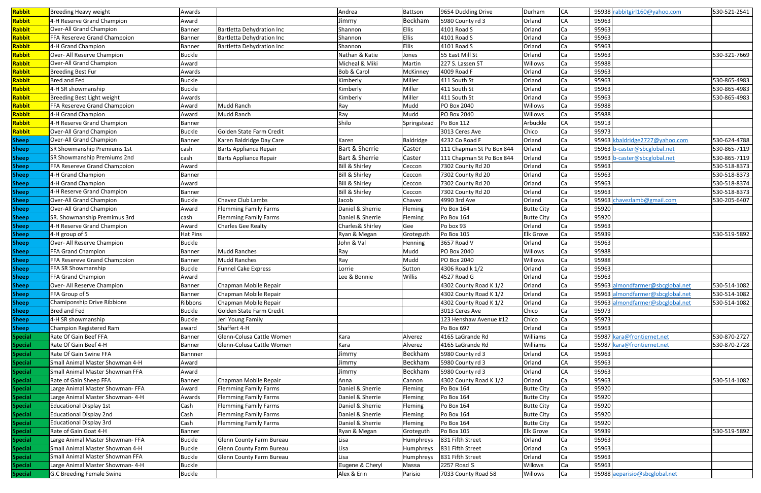| Rabbit                         | <b>Breeding Heavy weight</b>                 | Awards                         |                               | Andrea                     | Battson                 | 9654 Duckling Drive       | Durham            | <b>CA</b> |       | 95938 rabbitgirl160@yahoo.com    | 530-521-2541 |
|--------------------------------|----------------------------------------------|--------------------------------|-------------------------------|----------------------------|-------------------------|---------------------------|-------------------|-----------|-------|----------------------------------|--------------|
| Rabbit                         | 4-H Reserve Grand Champion                   | Award                          |                               | Jimmy                      | Beckham                 | 5980 County rd 3          | Orland            | <b>CA</b> | 95963 |                                  |              |
| Rabbit                         | Over-All Grand Champion                      | <b>Banner</b>                  | Bartletta Dehydration Inc     | Shannon                    | Ellis                   | 4101 Road S               | Orland            | Ca        | 95963 |                                  |              |
| Rabbit                         | FFA Resereve Grand Champoion                 | <b>Banner</b>                  | Bartletta Dehydration Inc     | Shannon                    | Ellis                   | 4101 Road S               | Orland            | Ca        | 95963 |                                  |              |
| Rabbit                         | 4-H Grand Champion                           | <b>Banner</b>                  | Bartletta Dehydration Inc     | Shannon                    | <b>Ellis</b>            | 4101 Road S               | Orland            | Ca        | 95963 |                                  |              |
| Rabbit                         | Over- All Reserve Champion                   | <b>Buckle</b>                  |                               | Nathan & Katie             | Jones                   | 55 East Mill St           | Orland            | lCa       | 95963 |                                  | 530-321-7669 |
| Rabbit                         | Over-All Grand Champion                      | Award                          |                               | Micheal & Miki             | Martin                  | 227 S. Lassen ST          | Willows           | Ca        | 95988 |                                  |              |
| Rabbit                         | <b>Breeding Best Fur</b>                     | Awards                         |                               | Bob & Carol                | McKinney                | 4009 Road F               | Orland            | Ca        | 95963 |                                  |              |
| Rabbit                         | <b>Bred and Fed</b>                          | <b>Buckle</b>                  |                               | Kimberly                   | Miller                  | 411 South St              | Orland            | Ca        | 95963 |                                  | 530-865-4983 |
| Rabbit                         | 4-H SR showmanship                           | <b>Buckle</b>                  |                               | Kimberly                   | Miller                  | 411 South St              | Orland            | lCa       | 95963 |                                  | 530-865-4983 |
| Rabbit                         | Breeding Best Light weight                   | Awards                         |                               | Kimberly                   | Miller                  | 411 South St              | Orland            | Ca        | 95963 |                                  | 530-865-4983 |
| Rabbit                         | FFA Resereve Grand Champoion                 | Award                          | Mudd Ranch                    | Ray                        | Mudd                    | PO Box 2040               | Willows           | lCa       | 95988 |                                  |              |
| Rabbit                         | 4-H Grand Champion                           | Award                          | Mudd Ranch                    | Ray                        | Mudd                    | PO Box 2040               | Willows           | Ca        | 95988 |                                  |              |
| Rabbit                         | 4-H Reserve Grand Champion                   | <b>Banner</b>                  |                               | Shilo                      | Springstead             | Po Box 112                | Arbuckle          | <b>CA</b> | 95913 |                                  |              |
| Rabbit                         | Over-All Grand Champion                      | <b>Buckle</b>                  | Golden State Farm Credit      |                            |                         | 3013 Ceres Ave            | Chico             | Ca        | 95973 |                                  |              |
| <b>Sheep</b>                   | Over-All Grand Champion                      | <b>Banner</b>                  | Karen Baldridge Day Care      | Karen                      | Baldridge               | 4232 Co Road F            | Orland            | Ca        | 95963 | kbaldridge2727@yahoo.com         | 530-624-4788 |
| <b>Sheep</b>                   | SR Showmanship Premiums 1st                  | cash                           | <b>Barts Appliance Repair</b> | Bart & Sherrie             | Caster                  | 111 Chapman St Po Box 844 | Orland            | lCa       | 95963 | b-caster@sbcglobal.net           | 530-865-7119 |
| <b>Sheep</b>                   | SR Showmanship Premiums 2nd                  | cash                           | <b>Barts Appliance Repair</b> | Bart & Sherrie             | Caster                  | 111 Chapman St Po Box 844 | Orland            | Ca        |       | 95963 b-caster@sbcglobal.net     | 530-865-7119 |
| <b>Sheep</b>                   | FFA Resereve Grand Champoion                 | Award                          |                               | <b>Bill &amp; Shirley</b>  | Ceccon                  | 7302 County Rd 20         | Orland            | Ca        | 95963 |                                  | 530-518-8373 |
|                                | 4-H Grand Champion                           | Banner                         |                               | <b>Bill &amp; Shirley</b>  | Ceccon                  | 7302 County Rd 20         | Orland            | Ca        | 95963 |                                  | 530-518-8373 |
| <b>Sheep</b><br><b>Sheep</b>   | 4-H Grand Champion                           | Award                          |                               | <b>Bill &amp; Shirley</b>  | Ceccon                  | 7302 County Rd 20         | Orland            | Ca        | 95963 |                                  | 530-518-8374 |
|                                | 4-H Reserve Grand Champion                   | <b>Banner</b>                  |                               | <b>Bill &amp; Shirley</b>  | Ceccon                  | 7302 County Rd 20         | Orland            |           | 95963 |                                  | 530-518-8373 |
| <b>Sheep</b><br><b>Sheep</b>   | Over-All Grand Champion                      | <b>Buckle</b>                  | Chavez Club Lambs             | Jacob                      | Chavez                  | 4990 3rd Ave              | Orland            | Ca<br>Ca  | 95963 | chavezlamb@gmail.com             | 530-205-6407 |
| <b>Sheep</b>                   | Over-All Grand Champion                      | Award                          | <b>Flemming Family Farms</b>  | Daniel & Sherrie           | Fleming                 | Po Box 164                | <b>Butte City</b> | Ca        | 95920 |                                  |              |
| <b>Sheep</b>                   | SR. Showmanship Premimus 3rd                 | cash                           | <b>Flemming Family Farms</b>  | Daniel & Sherrie           | Fleming                 | Po Box 164                | <b>Butte City</b> |           | 95920 |                                  |              |
|                                | 4-H Reserve Grand Champion                   | Award                          | <b>Charles Gee Realty</b>     | Charles& Shirley           | Gee                     | Po box 93                 | Orland            | Ca<br>Ca  | 95963 |                                  |              |
| <b>Sheep</b>                   |                                              |                                |                               |                            |                         | Po Box 105                | <b>Elk Grove</b>  |           | 95939 |                                  |              |
| <b>Sheep</b>                   | 4-H group of 5<br>Over- All Reserve Champion | Hat Pins<br><b>Buckle</b>      |                               | Ryan & Megan<br>John & Val | Groteguth               | 3657 Road V               | Orland            | lCa<br>Ca | 95963 |                                  | 530-519-5892 |
| <b>Sheep</b>                   | <b>FFA Grand Champion</b>                    |                                | <b>Mudd Ranches</b>           |                            | Henning<br>Mudd         | PO Box 2040               | Willows           |           | 95988 |                                  |              |
| <b>Sheep</b>                   | FFA Resereve Grand Champoion                 | <b>Banner</b><br><b>Banner</b> | <b>Mudd Ranches</b>           | Ray<br>Ray                 | Mudd                    | PO Box 2040               | Willows           | lCa       | 95988 |                                  |              |
| <b>Sheep</b>                   | FFA SR Showmanship                           | <b>Buckle</b>                  | <b>Funnel Cake Express</b>    | Lorrie                     |                         | 4306 Road k 1/2           | Orland            |           | 95963 |                                  |              |
| <b>Sheep</b>                   | FFA Grand Champion                           | Award                          |                               | Lee & Bonnie               | Sutton<br><b>Willis</b> | 4527 Road G               | Orland            | lCa<br>Ca | 95963 |                                  |              |
| <b>Sheep</b>                   | Over- All Reserve Champion                   | Banner                         | Chapman Mobile Repair         |                            |                         | 4302 County Road K 1/2    | Orland            | Ca        |       | 95963 almondfarmer@sbcglobal.net | 530-514-1082 |
| <b>Sheep</b>                   | FFA Group of 5                               |                                | Chapman Mobile Repair         |                            |                         | 4302 County Road K 1/2    | Orland            | Ca        |       | 95963 almondfarmer@sbcglobal.net | 530-514-1082 |
| <b>Sheep</b>                   | Chamiponship Drive Ribbions                  | <b>Banner</b><br>Ribbons       | Chapman Mobile Repair         |                            |                         | 4302 County Road K 1/2    | Orland            | Ca        | 95963 | almondfarmer@sbcglobal.net       | 530-514-1082 |
| <b>Sheep</b>                   | Bred and Fed                                 | <b>Buckle</b>                  | Golden State Farm Credit      |                            |                         | 3013 Ceres Ave            | Chico             |           | 95973 |                                  |              |
| <b>Sheep</b>                   | 4-H SR showmanship                           | <b>Buckle</b>                  | Jeri Young Family             |                            |                         | 123 Henshaw Avenue #12    | Chico             | Ca        | 95973 |                                  |              |
| <b>Sheep</b>                   | Champion Registered Ram                      | award                          | Shaffert 4-H                  |                            |                         | Po Box 697                | Orland            | Ca<br>Ca  | 95963 |                                  |              |
| <b>Sheep</b><br><b>Special</b> | Rate Of Gain Beef FFA                        | <b>Banner</b>                  | Glenn-Colusa Cattle Women     | Kara                       | Alverez                 | 4165 LaGrande Rd          | Williams          | Ca        |       | 95987 kara@frontiernet.net       | 530-870-2727 |
|                                | Rate Of Gain Beef 4-H                        | <b>Banner</b>                  | Glenn-Colusa Cattle Women     | Kara                       | Alverez                 | 4165 LaGrande Rd          | Williams          | Ca        | 95987 | kara@frontiernet.net             | 530-870-2728 |
| <b>Special</b>                 | Rate Of Gain Swine FFA                       | Bannner                        |                               | Jimmy                      | Beckham                 | 5980 County rd 3          | Orland            | CA        | 95963 |                                  |              |
| <b>Special</b>                 |                                              |                                |                               |                            |                         |                           |                   |           |       |                                  |              |
| <b>Special</b>                 | Small Animal Master Showman 4-H              | Award                          |                               | Jimmy                      | Beckham                 | 5980 County rd 3          | Orland            | CA        | 95963 |                                  |              |
| <b>Special</b>                 | Small Animal Master Showman FFA              | Award                          |                               | Jimmy                      | Beckham                 | 5980 County rd 3          | Orland            | <b>CA</b> | 95963 |                                  |              |
| <b>Special</b>                 | Rate of Gain Sheep FFA                       | <b>Banner</b>                  | Chapman Mobile Repair         | Anna                       | Cannon                  | 4302 County Road K 1/2    | Orland            | Ca        | 95963 |                                  | 530-514-1082 |
| <b>Special</b>                 | Large Animal Master Showman- FFA             | Award                          | <b>Flemming Family Farms</b>  | Daniel & Sherrie           | Fleming                 | Po Box 164                | <b>Butte City</b> | Ca        | 95920 |                                  |              |
| <b>Special</b>                 | Large Animal Master Showman- 4-H             | Awards                         | <b>Flemming Family Farms</b>  | Daniel & Sherrie           | Fleming                 | Po Box 164                | <b>Butte City</b> | lCa       | 95920 |                                  |              |
| <b>Special</b>                 | <b>Educational Display 1st</b>               | Cash                           | <b>Flemming Family Farms</b>  | Daniel & Sherrie           | Fleming                 | Po Box 164                | <b>Butte City</b> | lCa       | 95920 |                                  |              |
| <b>Special</b>                 | <b>Educational Display 2nd</b>               | Cash                           | <b>Flemming Family Farms</b>  | Daniel & Sherrie           | Fleming                 | Po Box 164                | <b>Butte City</b> | Ca        | 95920 |                                  |              |
| <b>Special</b>                 | <b>Educational Display 3rd</b>               | Cash                           | <b>Flemming Family Farms</b>  | Daniel & Sherrie           | Fleming                 | Po Box 164                | <b>Butte City</b> | Ca        | 95920 |                                  |              |
| <b>Special</b>                 | Rate of Gain Goat 4-H                        | Banner                         |                               | Ryan & Megan               | Groteguth               | Po Box 105                | <b>Elk Grove</b>  | Ca        | 95939 |                                  | 530-519-5892 |
| <b>Special</b>                 | Large Animal Master Showman- FFA             | <b>Buckle</b>                  | Glenn County Farm Bureau      | Lisa                       | Humphreys               | 831 Fifth Street          | Orland            | lCa       | 95963 |                                  |              |
| <b>Special</b>                 | Small Animal Master Showman 4-H              | <b>Buckle</b>                  | Glenn County Farm Bureau      | Lisa                       | Humphreys               | 831 Fifth Street          | Orland            | Ca        | 95963 |                                  |              |
| <b>Special</b>                 | Small Animal Master Showman FFA              | <b>Buckle</b>                  | Glenn County Farm Bureau      | Lisa                       | Humphreys               | 831 Fifth Street          | Orland            | lCa       | 95963 |                                  |              |
| <b>Special</b>                 | Large Animal Master Showman- 4-H             | <b>Buckle</b>                  |                               | Eugene & Cheryl            | Massa                   | 2257 Road S               | Willows           | Ca        | 95963 |                                  |              |
| <b>Special</b>                 | G.C Breeding Female Swine                    | <b>Buckle</b>                  |                               | Alex & Erin                | Parisio                 | 7033 County Road 58       | Willows           | Ca        |       | 95988 aeparisio@sbcglobal.net    |              |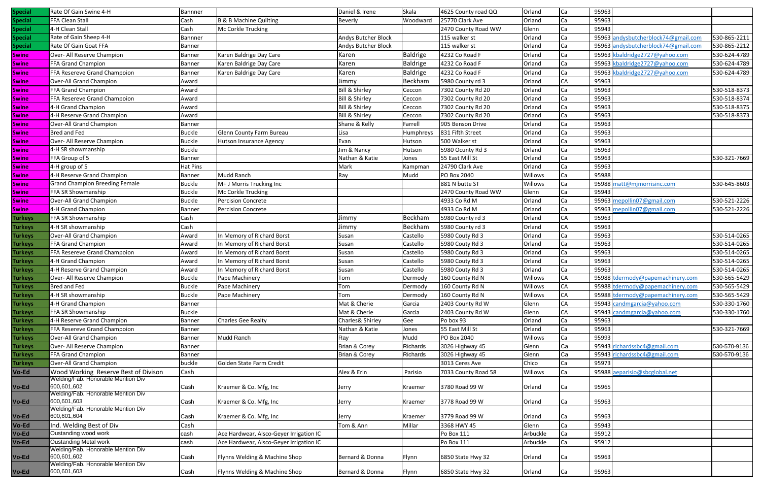| Special        | Rate Of Gain Swine 4-H                            | Bannner         |                                         | Daniel & Irene            | Skala           | 4625 County road QQ | Orland   | Ca        | 95963 |                                     |              |
|----------------|---------------------------------------------------|-----------------|-----------------------------------------|---------------------------|-----------------|---------------------|----------|-----------|-------|-------------------------------------|--------------|
| <b>Special</b> | FFA Clean Stall                                   | Cash            | B & B Machine Quilting                  | Beverly                   | Woodward        | 25770 Clark Ave     | Orland   | Ca        | 95963 |                                     |              |
| <b>Special</b> | 4-H Clean Stall                                   | Cash            | Mc Corkle Trucking                      |                           |                 | 2470 County Road WW | Glenn    | Ca        | 95943 |                                     |              |
| <b>Special</b> | Rate of Gain Sheep 4-H                            | Bannner         |                                         | Andys Butcher Block       |                 | 115 walker st       | Orland   | l Ca      | 95963 | andysbutcherblock74@gmail.com       | 530-865-2211 |
| <b>Special</b> | Rate Of Gain Goat FFA                             | <b>Banner</b>   |                                         | Andys Butcher Block       |                 | 115 walker st       | Orland   | Ca        |       | 95963 andysbutcherblock74@gmail.com | 530-865-2212 |
| <b>Swine</b>   | Over- All Reserve Champion                        | <b>Banner</b>   | Karen Baldrige Day Care                 | Karen                     | <b>Baldrige</b> | 4232 Co Road F      | Orland   | Ca        |       | 95963 kbaldridge2727@yahoo.com      | 530-624-4789 |
| <b>Swine</b>   | FFA Grand Champion                                | <b>Banner</b>   | Karen Baldrige Day Care                 | Karen                     | <b>Baldrige</b> | 4232 Co Road F      | Orland   | Ca        |       | 95963 kbaldridge2727@yahoo.com      | 530-624-4789 |
| <b>Swine</b>   | FFA Resereve Grand Champoion                      | <b>Banner</b>   | Karen Baldrige Day Care                 | Karen                     | <b>Baldrige</b> | 4232 Co Road F      | Orland   | Ca        |       | 95963 kbaldridge2727@yahoo.com      | 530-624-4789 |
| <b>Swine</b>   | Over-All Grand Champion                           | Award           |                                         | Jimmy                     | Beckham         | 5980 County rd 3    | Orland   | <b>CA</b> | 95963 |                                     |              |
| <b>Swine</b>   | FFA Grand Champion                                | Award           |                                         | <b>Bill &amp; Shirley</b> | Ceccon          | 7302 County Rd 20   | Orland   | Ca        | 95963 |                                     | 530-518-8373 |
| <b>Swine</b>   | FFA Resereve Grand Champoion                      | Award           |                                         | <b>Bill &amp; Shirley</b> | Ceccon          | 7302 County Rd 20   | Orland   | Ca        | 95963 |                                     | 530-518-8374 |
| <b>Swine</b>   | 4-H Grand Champion                                | Award           |                                         | <b>Bill &amp; Shirley</b> | Ceccon          | 7302 County Rd 20   | Orland   | Ca        | 95963 |                                     | 530-518-8375 |
| <b>Swine</b>   | 4-H Reserve Grand Champion                        | Award           |                                         | <b>Bill &amp; Shirley</b> | Ceccon          | 7302 County Rd 20   | Orland   | Ca        | 95963 |                                     | 530-518-8373 |
| <b>Swine</b>   | Over-All Grand Champion                           | <b>Banner</b>   |                                         | Shane & Kelly             | Farrell         | 905 Benson Drive    | Orland   | Ca        | 95963 |                                     |              |
| <b>Swine</b>   | <b>Bred and Fed</b>                               | <b>Buckle</b>   | <b>Glenn County Farm Bureau</b>         | Lisa                      | Humphreys       | 831 Fifth Street    | Orland   | l Ca      | 95963 |                                     |              |
| <b>Swine</b>   | Over- All Reserve Champion                        | <b>Buckle</b>   | <b>Hutson Insurance Agency</b>          | Evan                      | Hutson          | 500 Walker st       | Orland   | Ca        | 95963 |                                     |              |
| <b>Swine</b>   | 4-H SR showmanship                                | <b>Buckle</b>   |                                         | Jim & Nancy               | Hutson          | 5980 Ocunty Rd 3    | Orland   | Ca        | 95963 |                                     |              |
| <b>Swine</b>   | FFA Group of 5                                    | <b>Banner</b>   |                                         | Nathan & Katie            | Jones           | 55 East Mill St     | Orland   | Ca        | 95963 |                                     | 530-321-7669 |
| <b>Swine</b>   | 4-H group of 5                                    | <b>Hat Pins</b> |                                         | Mark                      | Kampmar         | 24790 Clark Ave     | Orland   | Ca        | 95963 |                                     |              |
| <b>Swine</b>   | 4-H Reserve Grand Champion                        | <b>Banner</b>   | <b>Mudd Ranch</b>                       | Ray                       | Mudd            | PO Box 2040         | Willows  | l Ca      | 95988 |                                     |              |
| <b>Swine</b>   | <b>Grand Champion Breeding Female</b>             | <b>Buckle</b>   | M+ J Morris Trucking Inc                |                           |                 | 881 N butte ST      | Willows  | Ca        | 95988 | matt@mjmorrisinc.com                | 530-645-8603 |
| <b>Swine</b>   | FFA SR Showmanship                                | <b>Buckle</b>   | Mc Corkle Trucking                      |                           |                 | 2470 County Road WW | Glenn    | Ca        | 95943 |                                     |              |
| <b>Swine</b>   | Over-All Grand Champion                           | <b>Buckle</b>   | <b>Percision Concrete</b>               |                           |                 | 4933 Co Rd M        | Orland   | Ca        | 95963 | mepollin07@gmail.com                | 530-521-2226 |
| <b>Swine</b>   | 4-H Grand Champion                                | <b>Banner</b>   | <b>Percision Concrete</b>               |                           |                 | 4933 Co Rd M        | Orland   |           | 95963 | mepollin07@gmail.com                | 530-521-2226 |
| <b>Turkeys</b> | FFA SR Showmanship                                | Cash            |                                         | Jimmy                     | Beckham         | 5980 County rd 3    | Orland   | Ca<br>CA  | 95963 |                                     |              |
|                |                                                   |                 |                                         |                           |                 |                     |          |           |       |                                     |              |
| <b>Turkeys</b> | 4-H SR showmanship                                | Cash            |                                         | Jimmy                     | Beckham         | 5980 County rd 3    | Orland   | <b>CA</b> | 95963 |                                     |              |
| <b>Turkeys</b> | Over-All Grand Champion                           | Award           | In Memory of Richard Borst              | Susan                     | Castello        | 5980 Couty Rd 3     | Orland   | Ca        | 95963 |                                     | 530-514-0265 |
| <b>Turkeys</b> | FFA Grand Champion                                | Award           | In Memory of Richard Borst              | Susan                     | Castello        | 5980 Couty Rd 3     | Orland   | Ca        | 95963 |                                     | 530-514-0265 |
| <b>Turkeys</b> | FFA Resereve Grand Champoion                      | Award           | In Memory of Richard Borst              | Susan                     | Castello        | 5980 Couty Rd 3     | Orland   | Ca        | 95963 |                                     | 530-514-0265 |
| <b>Turkeys</b> | 4-H Grand Champion                                | Award           | In Memory of Richard Borst              | Susan                     | Castello        | 5980 Couty Rd 3     | Orland   | Ca        | 95963 |                                     | 530-514-0265 |
| <b>Turkeys</b> | 4-H Reserve Grand Champion                        | Award           | In Memory of Richard Borst              | Susan                     | Castello        | 5980 Couty Rd 3     | Orland   | Ca        | 95963 |                                     | 530-514-0265 |
| <b>Turkeys</b> | Over- All Reserve Champion                        | <b>Buckle</b>   | Pape Machinery                          | Tom                       | Dermody         | 160 County Rd N     | Willows  | CA        |       | 95988 tdermody@papemachinery.com    | 530-565-5429 |
| Turkeys        | Bred and Fed                                      | <b>Buckle</b>   | Pape Machinery                          | Tom                       | Dermody         | 160 County Rd N     | Willows  | CA        |       | 95988 tdermody@papemachinery.com    | 530-565-5429 |
| <b>Turkeys</b> | 4-H SR showmanship                                | <b>Buckle</b>   | Pape Machinery                          | Tom                       | Dermody         | 160 County Rd N     | Willows  | CA        |       | 95988 tdermody@papemachinery.com    | 530-565-5429 |
| <b>Turkeys</b> | 4-H Grand Champion                                | <b>Banner</b>   |                                         | Mat & Cherie              | Garcia          | 2403 County Rd W    | Glenn    | CA        | 95943 | candmgarcia@yahoo.com               | 530-330-1760 |
| <b>Turkeys</b> | FFA SR Showmanship                                | <b>Buckle</b>   |                                         | Mat & Cherie              | Garcia          | 2403 County Rd W    | Glenn    | CA        |       | 95943 candmgarcia@yahoo.com         | 530-330-1760 |
| <b>Turkeys</b> | 4-H Reserve Grand Champion                        | <b>Banner</b>   | <b>Charles Gee Realty</b>               | Charles& Shirley          | Gee             | Po box 93           | Orland   | Ca        | 95963 |                                     |              |
| <b>Turkeys</b> | FFA Resereve Grand Champoion                      | <b>Banner</b>   |                                         | Nathan & Katie            | Jones           | 55 East Mill St     | Orland   | Ca        | 95963 |                                     | 530-321-7669 |
| <b>Turkeys</b> | Over-All Grand Champion                           | <b>Banner</b>   | Mudd Ranch                              | Ray                       | Mudd            | PO Box 2040         | Willows  | Ca        | 95993 |                                     |              |
| <b>Turkeys</b> | Over- All Reserve Champion                        | <b>Banner</b>   |                                         | Brian & Corey             | Richards        | 3026 Highway 45     | Glenn    | Ca        | 95943 | richardssbc4@gmail.com              | 530-570-9136 |
| <b>Turkeys</b> | FFA Grand Champion                                | <b>Banner</b>   |                                         | <b>Brian &amp; Corey</b>  | Richards        | 3026 Highway 45     | Glenn    | Ca        | 95943 | richardssbc4@gmail.com              | 530-570-9136 |
| <b>Turkeys</b> | Over-All Grand Champion                           | buckle          | Golden State Farm Credit                |                           |                 | 3013 Ceres Ave      | Chico    | Ca        | 95973 |                                     |              |
| Vo-Ed          | Wood Working Reserve Best of Divison              | Cash            |                                         | Alex & Erin               | Parisio         | 7033 County Road 58 | Willows  | Ca        |       | 95988 aeparisio@sbcglobal.net       |              |
|                | Welding/Fab. Honorable Mention Div<br>600,601,602 |                 |                                         |                           |                 |                     |          |           |       |                                     |              |
| Vo-Ed          | Welding/Fab. Honorable Mention Div                | Cash            | Kraemer & Co. Mfg, Inc                  | Jerry                     | Kraemer         | 3780 Road 99 W      | Orland   | l Ca      | 95965 |                                     |              |
| Vo-Ed          | 600,601,603                                       | Cash            | Kraemer & Co. Mfg, Inc                  | Jerry                     | Kraemer         | 3778 Road 99 W      | Orland   | lCa       | 95963 |                                     |              |
|                | Welding/Fab. Honorable Mention Div                |                 |                                         |                           |                 |                     |          |           |       |                                     |              |
| Vo-Ed          | 600,601,604                                       | Cash            | Kraemer & Co. Mfg, Inc                  | Jerry                     | Kraemer         | 3779 Road 99 W      | Orland   | l Ca      | 95963 |                                     |              |
| Vo-Ed          | Ind. Welding Best of Div                          | Cash            |                                         | Tom & Ann                 | Millar          | 3368 HWY 45         | Glenn    | Ca        | 95943 |                                     |              |
| Vo-Ed          | Oustanding wood work                              | cash            | Ace Hardwear, Alsco-Geyer Irrigation IC |                           |                 | Po Box 111          | Arbuckle | Ca        | 95912 |                                     |              |
| Vo-Ed          | <b>Oustanding Metal work</b>                      | cash            | Ace Hardwear, Alsco-Geyer Irrigation IC |                           |                 | Po Box 111          | Arbuckle | Ca        | 95912 |                                     |              |
|                | Welding/Fab. Honorable Mention Div                |                 |                                         |                           |                 |                     |          |           |       |                                     |              |
| Vo-Ed          | 600,601,602                                       | Cash            | Flynns Welding & Machine Shop           | Bernard & Donna           | Flynn           | 6850 State Hwy 32   | Orland   | Ca        | 95963 |                                     |              |
|                | Welding/Fab. Honorable Mention Div<br>600,601,603 |                 |                                         |                           |                 |                     |          |           |       |                                     |              |
| Vo-Ed          |                                                   | Cash            | Flynns Welding & Machine Shop           | Bernard & Donna           | Flynn           | 6850 State Hwy 32   | Orland   | Ca        | 95963 |                                     |              |